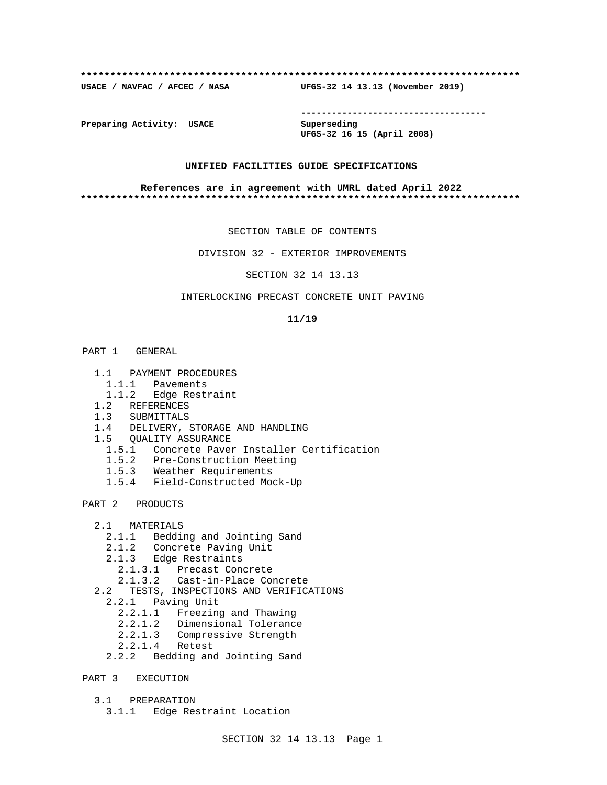### **\*\*\*\*\*\*\*\*\*\*\*\*\*\*\*\*\*\*\*\*\*\*\*\*\*\*\*\*\*\*\*\*\*\*\*\*\*\*\*\*\*\*\*\*\*\*\*\*\*\*\*\*\*\*\*\*\*\*\*\*\*\*\*\*\*\*\*\*\*\*\*\*\*\***

**USACE / NAVFAC / AFCEC / NASA UFGS-32 14 13.13 (November 2019)**

**------------------------------------**

**Preparing Activity: USACE Superseding**

**UFGS-32 16 15 (April 2008)**

# **UNIFIED FACILITIES GUIDE SPECIFICATIONS**

### **References are in agreement with UMRL dated April 2022 \*\*\*\*\*\*\*\*\*\*\*\*\*\*\*\*\*\*\*\*\*\*\*\*\*\*\*\*\*\*\*\*\*\*\*\*\*\*\*\*\*\*\*\*\*\*\*\*\*\*\*\*\*\*\*\*\*\*\*\*\*\*\*\*\*\*\*\*\*\*\*\*\*\***

SECTION TABLE OF CONTENTS

DIVISION 32 - EXTERIOR IMPROVEMENTS

SECTION 32 14 13.13

# INTERLOCKING PRECAST CONCRETE UNIT PAVING

## **11/19**

- PART 1 GENERAL
	- 1.1 PAYMENT PROCEDURES
		- 1.1.1 Pavements
		- 1.1.2 Edge Restraint
	- 1.2 REFERENCES
	- 1.3 SUBMITTALS
	- 1.4 DELIVERY, STORAGE AND HANDLING
	- 1.5 QUALITY ASSURANCE
- 1.5.1 Concrete Paver Installer Certification
- 1.5.2 Pre-Construction Meeting
	- 1.5.3 Weather Requirements
	- 1.5.4 Field-Constructed Mock-Up
- PART 2 PRODUCTS
	- 2.1 MATERIALS
		- 2.1.1 Bedding and Jointing Sand
		- 2.1.2 Concrete Paving Unit
		- 2.1.3 Edge Restraints
		- 2.1.3.1 Precast Concrete
		- 2.1.3.2 Cast-in-Place Concrete
	- 2.2 TESTS, INSPECTIONS AND VERIFICATIONS
		- 2.2.1 Paving Unit
			- 2.2.1.1 Freezing and Thawing
			- 2.2.1.2 Dimensional Tolerance
			- 2.2.1.3 Compressive Strength
			- 2.2.1.4 Retest
		- 2.2.2 Bedding and Jointing Sand
- PART 3 EXECUTION
	- 3.1 PREPARATION
		- 3.1.1 Edge Restraint Location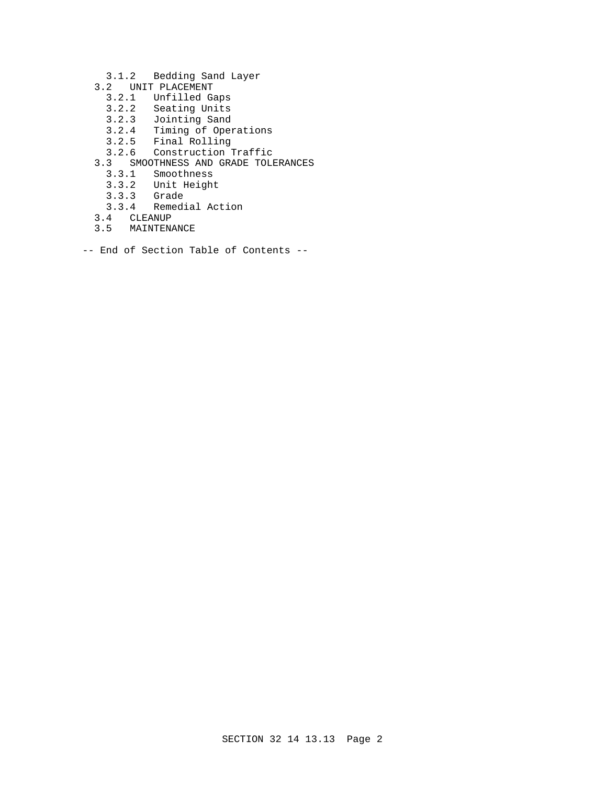- 3.1.2 Bedding Sand Layer
- 3.2 UNIT PLACEMENT
	- 3.2.1 Unfilled Gaps
	- 3.2.2 Seating Units
- 3.2.3 Jointing Sand
- 3.2.4 Timing of Operations
- 3.2.5 Final Rolling
	- 3.2.6 Construction Traffic
	- 3.3 SMOOTHNESS AND GRADE TOLERANCES
		- 3.3.1 Smoothness
		- 3.3.2 Unit Height
		- 3.3.3 Grade
		- 3.3.4 Remedial Action
	- 3.4 CLEANUP
	- 3.5 MAINTENANCE
- -- End of Section Table of Contents --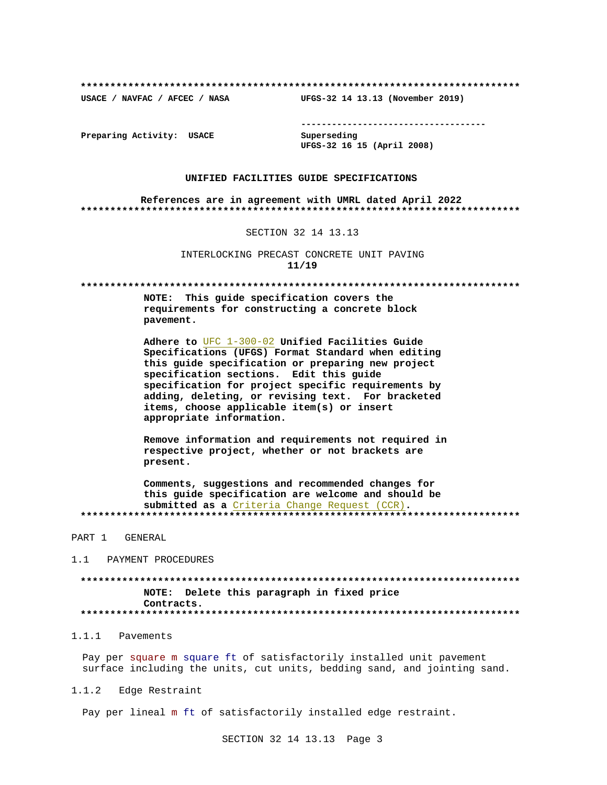USACE / NAVFAC / AFCEC / NASA

--------------------------------------

Preparing Activity: USACE

Superseding UFGS-32 16 15 (April 2008)

UFGS-32 14 13.13 (November 2019)

## UNIFIED FACILITIES GUIDE SPECIFICATIONS

References are in agreement with UMRL dated April 2022 

# SECTION 32 14 13.13

INTERLOCKING PRECAST CONCRETE UNIT PAVING  $11/19$ 

NOTE: This quide specification covers the requirements for constructing a concrete block pavement.

Adhere to UFC 1-300-02 Unified Facilities Guide Specifications (UFGS) Format Standard when editing this guide specification or preparing new project specification sections. Edit this guide specification for project specific requirements by adding, deleting, or revising text. For bracketed items, choose applicable item(s) or insert appropriate information.

Remove information and requirements not required in respective project, whether or not brackets are present.

Comments, suggestions and recommended changes for this quide specification are welcome and should be submitted as a Criteria Change Request (CCR). 

PART 1 GENERAL

1.1 PAYMENT PROCEDURES

NOTE: Delete this paragraph in fixed price Contracts. 

# 1.1.1 Pavements

Pay per square m square ft of satisfactorily installed unit pavement surface including the units, cut units, bedding sand, and jointing sand.

 $1.1.2$ Edge Restraint

Pay per lineal m ft of satisfactorily installed edge restraint.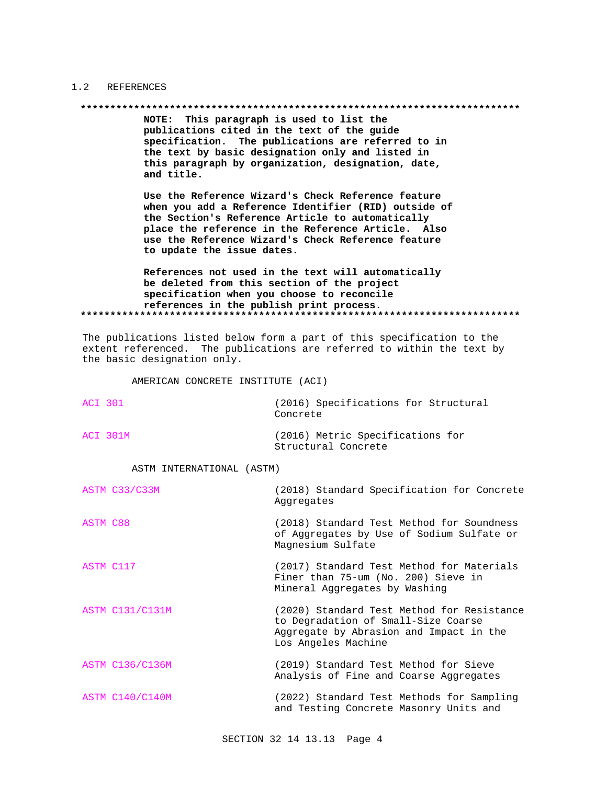#### $1.2$ REFERENCES

### 

NOTE: This paragraph is used to list the publications cited in the text of the guide specification. The publications are referred to in the text by basic designation only and listed in this paragraph by organization, designation, date, and title.

Use the Reference Wizard's Check Reference feature when you add a Reference Identifier (RID) outside of the Section's Reference Article to automatically place the reference in the Reference Article. Also use the Reference Wizard's Check Reference feature to update the issue dates.

References not used in the text will automatically be deleted from this section of the project specification when you choose to reconcile references in the publish print process. 

The publications listed below form a part of this specification to the extent referenced. The publications are referred to within the text by the basic designation only.

AMERICAN CONCRETE INSTITUTE (ACI)

| ACT 301  | (2016) Specifications for Structural<br>Concrete        |
|----------|---------------------------------------------------------|
| ACT 301M | (2016) Metric Specifications for<br>Structural Concrete |

### ASTM INTERNATIONAL (ASTM)

|           | ASTM C33/C33M          | (2018) Standard Specification for Concrete<br>Aggregates                                                                                            |
|-----------|------------------------|-----------------------------------------------------------------------------------------------------------------------------------------------------|
| ASTM C88  |                        | (2018) Standard Test Method for Soundness<br>of Aggregates by Use of Sodium Sulfate or<br>Magnesium Sulfate                                         |
| ASTM C117 |                        | (2017) Standard Test Method for Materials<br>Finer than 75-um (No. 200) Sieve in<br>Mineral Aggregates by Washing                                   |
|           | <b>ASTM C131/C131M</b> | (2020) Standard Test Method for Resistance<br>to Degradation of Small-Size Coarse<br>Aggregate by Abrasion and Impact in the<br>Los Angeles Machine |
|           | <b>ASTM C136/C136M</b> | (2019) Standard Test Method for Sieve<br>Analysis of Fine and Coarse Aggregates                                                                     |
|           | ASTM C140/C140M        | (2022) Standard Test Methods for Sampling<br>and Testing Concrete Masonry Units and                                                                 |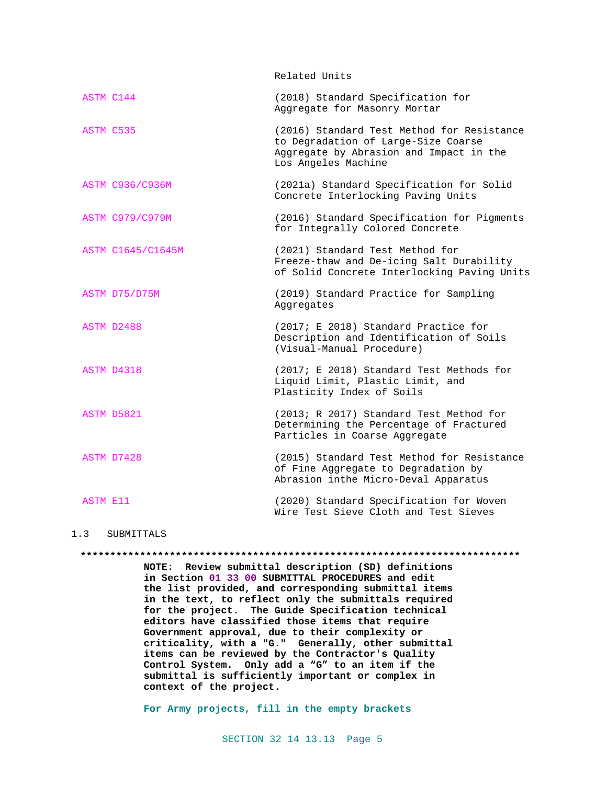Related Units

| ASTM C144 |                          | (2018) Standard Specification for<br>Aggregate for Masonry Mortar                                                                                   |
|-----------|--------------------------|-----------------------------------------------------------------------------------------------------------------------------------------------------|
| ASTM C535 |                          | (2016) Standard Test Method for Resistance<br>to Degradation of Large-Size Coarse<br>Aggregate by Abrasion and Impact in the<br>Los Angeles Machine |
|           | <b>ASTM C936/C936M</b>   | (2021a) Standard Specification for Solid<br>Concrete Interlocking Paving Units                                                                      |
|           | <b>ASTM C979/C979M</b>   | (2016) Standard Specification for Pigments<br>for Integrally Colored Concrete                                                                       |
|           | <b>ASTM C1645/C1645M</b> | (2021) Standard Test Method for<br>Freeze-thaw and De-icing Salt Durability<br>of Solid Concrete Interlocking Paving Units                          |
|           | ASTM D75/D75M            | (2019) Standard Practice for Sampling<br>Aggregates                                                                                                 |
|           | ASTM D2488               | (2017; E 2018) Standard Practice for<br>Description and Identification of Soils<br>(Visual-Manual Procedure)                                        |
|           | ASTM D4318               | (2017; E 2018) Standard Test Methods for<br>Liquid Limit, Plastic Limit, and<br>Plasticity Index of Soils                                           |
|           | ASTM D5821               | (2013; R 2017) Standard Test Method for<br>Determining the Percentage of Fractured<br>Particles in Coarse Aggregate                                 |
|           | ASTM D7428               | (2015) Standard Test Method for Resistance<br>of Fine Aggregate to Degradation by<br>Abrasion inthe Micro-Deval Apparatus                           |
| ASTM E11  |                          | (2020) Standard Specification for Woven<br>Wire Test Sieve Cloth and Test Sieves                                                                    |

1.3 SUBMITTALS

#### **\*\*\*\*\*\*\*\*\*\*\*\*\*\*\*\*\*\*\*\*\*\*\*\*\*\*\*\*\*\*\*\*\*\*\*\*\*\*\*\*\*\*\*\*\*\*\*\*\*\*\*\*\*\*\*\*\*\*\*\*\*\*\*\*\*\*\*\*\*\*\*\*\*\***

**NOTE: Review submittal description (SD) definitions in Section 01 33 00 SUBMITTAL PROCEDURES and edit the list provided, and corresponding submittal items in the text, to reflect only the submittals required for the project. The Guide Specification technical editors have classified those items that require Government approval, due to their complexity or criticality, with a "G." Generally, other submittal items can be reviewed by the Contractor's Quality Control System. Only add a "G" to an item if the submittal is sufficiently important or complex in context of the project.**

**For Army projects, fill in the empty brackets**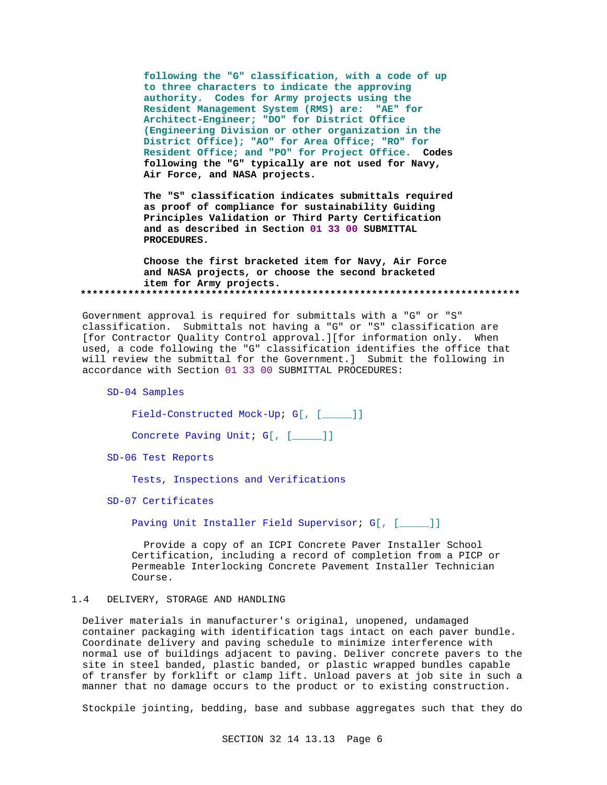**following the "G" classification, with a code of up to three characters to indicate the approving authority. Codes for Army projects using the Resident Management System (RMS) are: "AE" for Architect-Engineer; "DO" for District Office (Engineering Division or other organization in the District Office); "AO" for Area Office; "RO" for Resident Office; and "PO" for Project Office. Codes following the "G" typically are not used for Navy, Air Force, and NASA projects.**

**The "S" classification indicates submittals required as proof of compliance for sustainability Guiding Principles Validation or Third Party Certification and as described in Section 01 33 00 SUBMITTAL PROCEDURES.**

**Choose the first bracketed item for Navy, Air Force and NASA projects, or choose the second bracketed item for Army projects. \*\*\*\*\*\*\*\*\*\*\*\*\*\*\*\*\*\*\*\*\*\*\*\*\*\*\*\*\*\*\*\*\*\*\*\*\*\*\*\*\*\*\*\*\*\*\*\*\*\*\*\*\*\*\*\*\*\*\*\*\*\*\*\*\*\*\*\*\*\*\*\*\*\***

Government approval is required for submittals with a "G" or "S" classification. Submittals not having a "G" or "S" classification are [for Contractor Quality Control approval.][for information only. When used, a code following the "G" classification identifies the office that will review the submittal for the Government.] Submit the following in accordance with Section 01 33 00 SUBMITTAL PROCEDURES:

SD-04 Samples

Field-Constructed Mock-Up; G[, [\_\_\_\_\_]]

Concrete Paving Unit; G[, [\_\_\_\_]]

SD-06 Test Reports

Tests, Inspections and Verifications

SD-07 Certificates

Paving Unit Installer Field Supervisor; G[, [\_\_\_\_]]

 Provide a copy of an ICPI Concrete Paver Installer School Certification, including a record of completion from a PICP or Permeable Interlocking Concrete Pavement Installer Technician Course.

## 1.4 DELIVERY, STORAGE AND HANDLING

Deliver materials in manufacturer's original, unopened, undamaged container packaging with identification tags intact on each paver bundle. Coordinate delivery and paving schedule to minimize interference with normal use of buildings adjacent to paving. Deliver concrete pavers to the site in steel banded, plastic banded, or plastic wrapped bundles capable of transfer by forklift or clamp lift. Unload pavers at job site in such a manner that no damage occurs to the product or to existing construction.

Stockpile jointing, bedding, base and subbase aggregates such that they do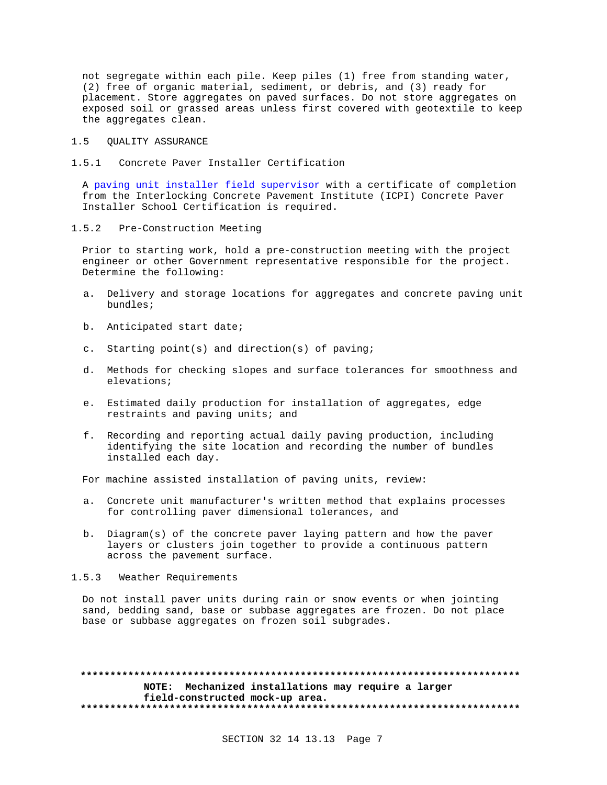not segregate within each pile. Keep piles (1) free from standing water, (2) free of organic material, sediment, or debris, and (3) ready for placement. Store aggregates on paved surfaces. Do not store aggregates on exposed soil or grassed areas unless first covered with geotextile to keep the aggregates clean.

## 1.5 QUALITY ASSURANCE

1.5.1 Concrete Paver Installer Certification

A paving unit installer field supervisor with a certificate of completion from the Interlocking Concrete Pavement Institute (ICPI) Concrete Paver Installer School Certification is required.

1.5.2 Pre-Construction Meeting

Prior to starting work, hold a pre-construction meeting with the project engineer or other Government representative responsible for the project. Determine the following:

- a. Delivery and storage locations for aggregates and concrete paving unit bundles;
- b. Anticipated start date;
- c. Starting point(s) and direction(s) of paving;
- d. Methods for checking slopes and surface tolerances for smoothness and elevations;
- e. Estimated daily production for installation of aggregates, edge restraints and paving units; and
- f. Recording and reporting actual daily paving production, including identifying the site location and recording the number of bundles installed each day.

For machine assisted installation of paving units, review:

- a. Concrete unit manufacturer's written method that explains processes for controlling paver dimensional tolerances, and
- b. Diagram(s) of the concrete paver laying pattern and how the paver layers or clusters join together to provide a continuous pattern across the pavement surface.
- 1.5.3 Weather Requirements

Do not install paver units during rain or snow events or when jointing sand, bedding sand, base or subbase aggregates are frozen. Do not place base or subbase aggregates on frozen soil subgrades.

**\*\*\*\*\*\*\*\*\*\*\*\*\*\*\*\*\*\*\*\*\*\*\*\*\*\*\*\*\*\*\*\*\*\*\*\*\*\*\*\*\*\*\*\*\*\*\*\*\*\*\*\*\*\*\*\*\*\*\*\*\*\*\*\*\*\*\*\*\*\*\*\*\*\* NOTE: Mechanized installations may require a larger field-constructed mock-up area. \*\*\*\*\*\*\*\*\*\*\*\*\*\*\*\*\*\*\*\*\*\*\*\*\*\*\*\*\*\*\*\*\*\*\*\*\*\*\*\*\*\*\*\*\*\*\*\*\*\*\*\*\*\*\*\*\*\*\*\*\*\*\*\*\*\*\*\*\*\*\*\*\*\***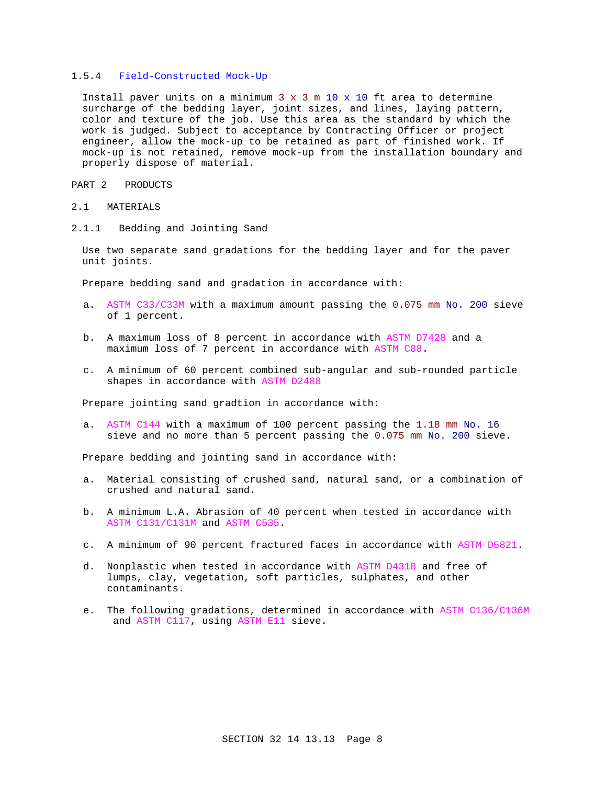# 1.5.4 Field-Constructed Mock-Up

Install paver units on a minimum  $3 \times 3$  m  $10 \times 10$  ft area to determine surcharge of the bedding layer, joint sizes, and lines, laying pattern, color and texture of the job. Use this area as the standard by which the work is judged. Subject to acceptance by Contracting Officer or project engineer, allow the mock-up to be retained as part of finished work. If mock-up is not retained, remove mock-up from the installation boundary and properly dispose of material.

PART 2 PRODUCTS

## 2.1 MATERIALS

2.1.1 Bedding and Jointing Sand

Use two separate sand gradations for the bedding layer and for the paver unit joints.

Prepare bedding sand and gradation in accordance with:

- a. ASTM C33/C33M with a maximum amount passing the 0.075 mm No. 200 sieve of 1 percent.
- b. A maximum loss of 8 percent in accordance with ASTM D7428 and a maximum loss of 7 percent in accordance with ASTM C88.
- c. A minimum of 60 percent combined sub-angular and sub-rounded particle shapes in accordance with ASTM D2488

Prepare jointing sand gradtion in accordance with:

a. ASTM C144 with a maximum of 100 percent passing the 1.18 mm No. 16 sieve and no more than 5 percent passing the 0.075 mm No. 200 sieve.

Prepare bedding and jointing sand in accordance with:

- a. Material consisting of crushed sand, natural sand, or a combination of crushed and natural sand.
- b. A minimum L.A. Abrasion of 40 percent when tested in accordance with ASTM C131/C131M and ASTM C535.
- c. A minimum of 90 percent fractured faces in accordance with ASTM D5821.
- d. Nonplastic when tested in accordance with ASTM D4318 and free of lumps, clay, vegetation, soft particles, sulphates, and other contaminants.
- e. The following gradations, determined in accordance with ASTM C136/C136M and ASTM C117, using ASTM E11 sieve.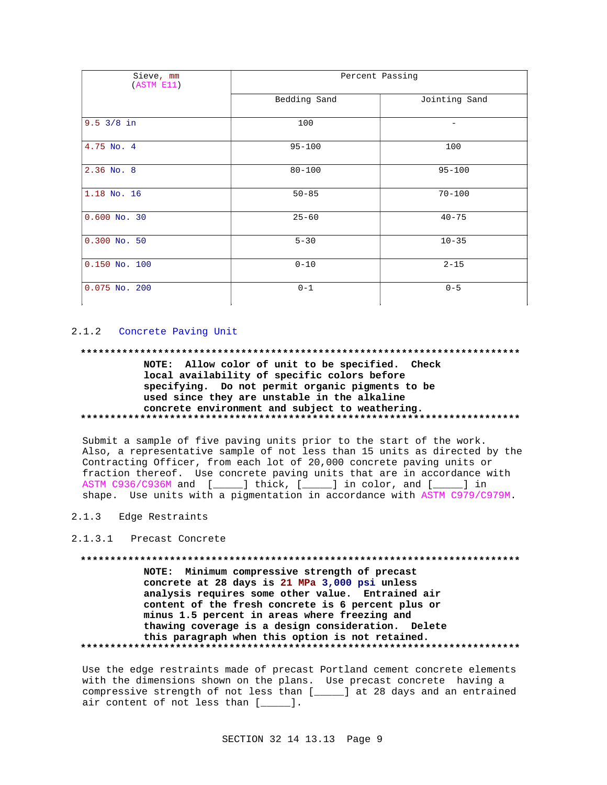| Sieve, mm<br>(ASTM E11) | Percent Passing |               |
|-------------------------|-----------------|---------------|
|                         | Bedding Sand    | Jointing Sand |
| $9.5 \frac{3}{8}$ in    | 100             |               |
| 4.75 No. 4              | $95 - 100$      | 100           |
| $2.36$ No. $8$          | $80 - 100$      | $95 - 100$    |
| 1.18 No. 16             | $50 - 85$       | $70 - 100$    |
| $0.600$ No. 30          | $25 - 60$       | $40 - 75$     |
| $0.300$ No. 50          | $5 - 30$        | $10 - 35$     |
| $0.150$ No. 100         | $0 - 10$        | $2 - 15$      |
| $0.075$ No. 200         | $0 - 1$         | $0 - 5$       |

# 2.1.2 Concrete Paving Unit

### 

NOTE: Allow color of unit to be specified. Check local availability of specific colors before specifying. Do not permit organic pigments to be used since they are unstable in the alkaline concrete environment and subject to weathering. 

Submit a sample of five paving units prior to the start of the work. Also, a representative sample of not less than 15 units as directed by the Contracting Officer, from each lot of 20,000 concrete paving units or fraction thereof. Use concrete paving units that are in accordance with ASTM C936/C936M and [\_\_\_\_\_] thick, [\_\_\_\_] in color, and [\_\_\_\_] in shape. Use units with a pigmentation in accordance with ASTM C979/C979M.

# 2.1.3 Edge Restraints

## 2.1.3.1 Precast Concrete

NOTE: Minimum compressive strength of precast concrete at 28 days is 21 MPa 3,000 psi unless analysis requires some other value. Entrained air content of the fresh concrete is 6 percent plus or minus 1.5 percent in areas where freezing and thawing coverage is a design consideration. Delete this paragraph when this option is not retained. 

Use the edge restraints made of precast Portland cement concrete elements with the dimensions shown on the plans. Use precast concrete having a compressive strength of not less than [\_\_\_\_] at 28 days and an entrained air content of not less than [\_\_\_\_].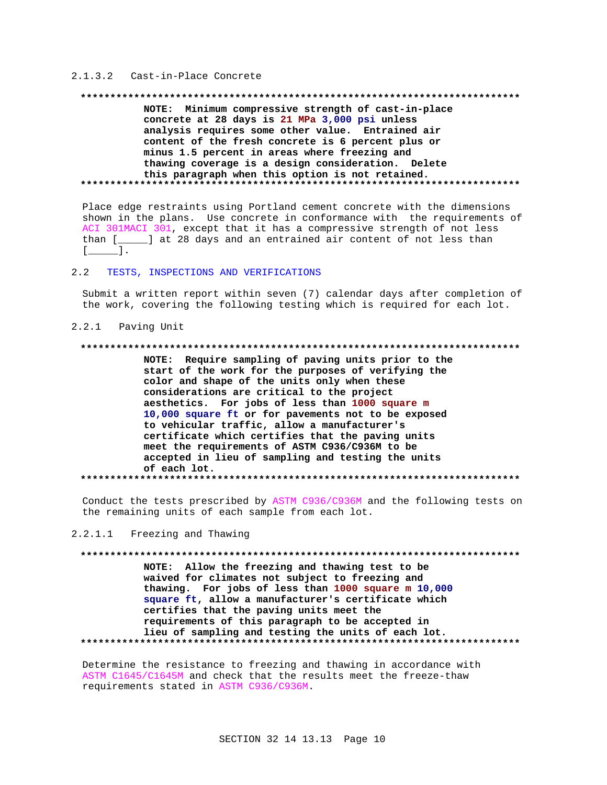# 2.1.3.2 Cast-in-Place Concrete

# NOTE: Minimum compressive strength of cast-in-place concrete at 28 days is 21 MPa 3,000 psi unless analysis requires some other value. Entrained air content of the fresh concrete is 6 percent plus or minus 1.5 percent in areas where freezing and thawing coverage is a design consideration. Delete this paragraph when this option is not retained.

Place edge restraints using Portland cement concrete with the dimensions shown in the plans. Use concrete in conformance with the requirements of ACI 301MACI 301, except that it has a compressive strength of not less than [\_\_\_\_\_] at 28 days and an entrained air content of not less than  $\begin{bmatrix} 1 & 1 \end{bmatrix}$ 

#### $2.2$ TESTS, INSPECTIONS AND VERIFICATIONS

Submit a written report within seven (7) calendar days after completion of the work, covering the following testing which is required for each lot.

### 2.2.1 Paving Unit

## 

NOTE: Require sampling of paving units prior to the start of the work for the purposes of verifying the color and shape of the units only when these considerations are critical to the project aesthetics. For jobs of less than 1000 square m 10,000 square ft or for pavements not to be exposed to vehicular traffic, allow a manufacturer's certificate which certifies that the paving units meet the requirements of ASTM C936/C936M to be accepted in lieu of sampling and testing the units of each lot. 

Conduct the tests prescribed by ASTM C936/C936M and the following tests on the remaining units of each sample from each lot.

#### $2, 2, 1, 1$ Freezing and Thawing

NOTE: Allow the freezing and thawing test to be waived for climates not subject to freezing and thawing. For jobs of less than 1000 square m 10,000 square ft, allow a manufacturer's certificate which certifies that the paving units meet the requirements of this paragraph to be accepted in lieu of sampling and testing the units of each lot. 

Determine the resistance to freezing and thawing in accordance with ASTM C1645/C1645M and check that the results meet the freeze-thaw requirements stated in ASTM C936/C936M.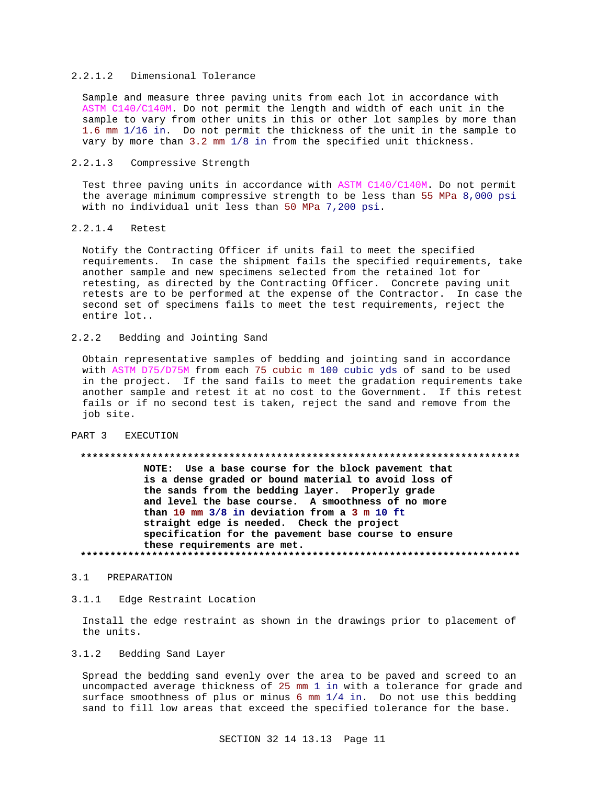# 2.2.1.2 Dimensional Tolerance

Sample and measure three paving units from each lot in accordance with ASTM C140/C140M. Do not permit the length and width of each unit in the sample to vary from other units in this or other lot samples by more than 1.6 mm 1/16 in. Do not permit the thickness of the unit in the sample to vary by more than 3.2 mm 1/8 in from the specified unit thickness.

### 2.2.1.3 Compressive Strength

Test three paving units in accordance with ASTM C140/C140M. Do not permit the average minimum compressive strength to be less than 55 MPa 8,000 psi with no individual unit less than 50 MPa 7,200 psi.

## 2.2.1.4 Retest

Notify the Contracting Officer if units fail to meet the specified requirements. In case the shipment fails the specified requirements, take another sample and new specimens selected from the retained lot for retesting, as directed by the Contracting Officer. Concrete paving unit retests are to be performed at the expense of the Contractor. In case the second set of specimens fails to meet the test requirements, reject the entire lot..

# 2.2.2 Bedding and Jointing Sand

Obtain representative samples of bedding and jointing sand in accordance with ASTM D75/D75M from each 75 cubic m 100 cubic yds of sand to be used in the project. If the sand fails to meet the gradation requirements take another sample and retest it at no cost to the Government. If this retest fails or if no second test is taken, reject the sand and remove from the job site.

# PART 3 EXECUTION

#### **\*\*\*\*\*\*\*\*\*\*\*\*\*\*\*\*\*\*\*\*\*\*\*\*\*\*\*\*\*\*\*\*\*\*\*\*\*\*\*\*\*\*\*\*\*\*\*\*\*\*\*\*\*\*\*\*\*\*\*\*\*\*\*\*\*\*\*\*\*\*\*\*\*\***

**NOTE: Use a base course for the block pavement that is a dense graded or bound material to avoid loss of the sands from the bedding layer. Properly grade and level the base course. A smoothness of no more than 10 mm 3/8 in deviation from a 3 m 10 ft straight edge is needed. Check the project specification for the pavement base course to ensure these requirements are met. \*\*\*\*\*\*\*\*\*\*\*\*\*\*\*\*\*\*\*\*\*\*\*\*\*\*\*\*\*\*\*\*\*\*\*\*\*\*\*\*\*\*\*\*\*\*\*\*\*\*\*\*\*\*\*\*\*\*\*\*\*\*\*\*\*\*\*\*\*\*\*\*\*\***

#### 3.1 PREPARATION

## 3.1.1 Edge Restraint Location

Install the edge restraint as shown in the drawings prior to placement of the units.

# 3.1.2 Bedding Sand Layer

Spread the bedding sand evenly over the area to be paved and screed to an uncompacted average thickness of 25 mm 1 in with a tolerance for grade and surface smoothness of plus or minus 6 mm 1/4 in. Do not use this bedding sand to fill low areas that exceed the specified tolerance for the base.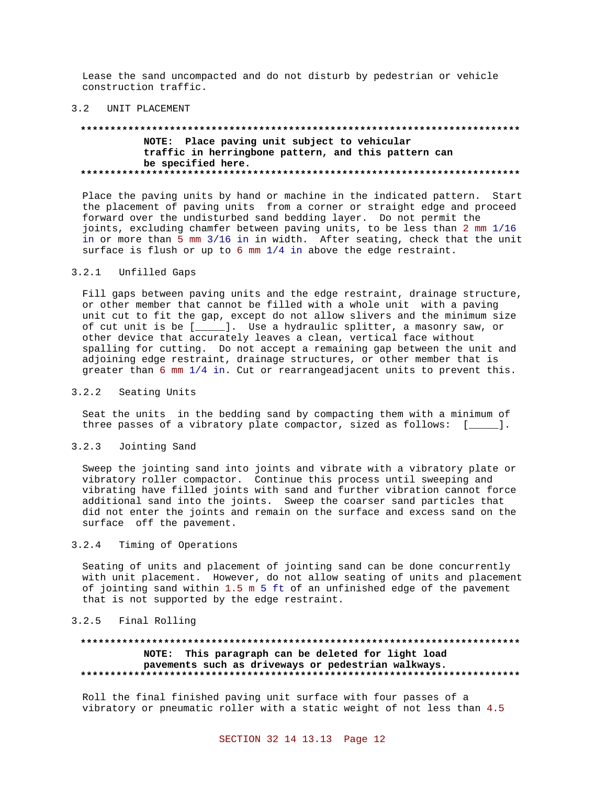Lease the sand uncompacted and do not disturb by pedestrian or vehicle construction traffic.

## 3.2 UNIT PLACEMENT

# **\*\*\*\*\*\*\*\*\*\*\*\*\*\*\*\*\*\*\*\*\*\*\*\*\*\*\*\*\*\*\*\*\*\*\*\*\*\*\*\*\*\*\*\*\*\*\*\*\*\*\*\*\*\*\*\*\*\*\*\*\*\*\*\*\*\*\*\*\*\*\*\*\*\* NOTE: Place paving unit subject to vehicular traffic in herringbone pattern, and this pattern can be specified here. \*\*\*\*\*\*\*\*\*\*\*\*\*\*\*\*\*\*\*\*\*\*\*\*\*\*\*\*\*\*\*\*\*\*\*\*\*\*\*\*\*\*\*\*\*\*\*\*\*\*\*\*\*\*\*\*\*\*\*\*\*\*\*\*\*\*\*\*\*\*\*\*\*\***

Place the paving units by hand or machine in the indicated pattern. Start the placement of paving units from a corner or straight edge and proceed forward over the undisturbed sand bedding layer. Do not permit the joints, excluding chamfer between paving units, to be less than 2 mm 1/16 in or more than 5 mm 3/16 in in width. After seating, check that the unit surface is flush or up to 6 mm 1/4 in above the edge restraint.

# 3.2.1 Unfilled Gaps

Fill gaps between paving units and the edge restraint, drainage structure, or other member that cannot be filled with a whole unit with a paving unit cut to fit the gap, except do not allow slivers and the minimum size of cut unit is be [\_\_\_\_\_]. Use a hydraulic splitter, a masonry saw, or other device that accurately leaves a clean, vertical face without spalling for cutting. Do not accept a remaining gap between the unit and adjoining edge restraint, drainage structures, or other member that is greater than 6 mm 1/4 in. Cut or rearrangeadjacent units to prevent this.

## 3.2.2 Seating Units

Seat the units in the bedding sand by compacting them with a minimum of three passes of a vibratory plate compactor, sized as follows: [\_\_\_\_\_].

# 3.2.3 Jointing Sand

Sweep the jointing sand into joints and vibrate with a vibratory plate or vibratory roller compactor. Continue this process until sweeping and vibrating have filled joints with sand and further vibration cannot force additional sand into the joints. Sweep the coarser sand particles that did not enter the joints and remain on the surface and excess sand on the surface off the pavement.

# 3.2.4 Timing of Operations

Seating of units and placement of jointing sand can be done concurrently with unit placement. However, do not allow seating of units and placement of jointing sand within 1.5 m 5 ft of an unfinished edge of the pavement that is not supported by the edge restraint.

## 3.2.5 Final Rolling

# **\*\*\*\*\*\*\*\*\*\*\*\*\*\*\*\*\*\*\*\*\*\*\*\*\*\*\*\*\*\*\*\*\*\*\*\*\*\*\*\*\*\*\*\*\*\*\*\*\*\*\*\*\*\*\*\*\*\*\*\*\*\*\*\*\*\*\*\*\*\*\*\*\*\* NOTE: This paragraph can be deleted for light load pavements such as driveways or pedestrian walkways. \*\*\*\*\*\*\*\*\*\*\*\*\*\*\*\*\*\*\*\*\*\*\*\*\*\*\*\*\*\*\*\*\*\*\*\*\*\*\*\*\*\*\*\*\*\*\*\*\*\*\*\*\*\*\*\*\*\*\*\*\*\*\*\*\*\*\*\*\*\*\*\*\*\***

Roll the final finished paving unit surface with four passes of a vibratory or pneumatic roller with a static weight of not less than 4.5